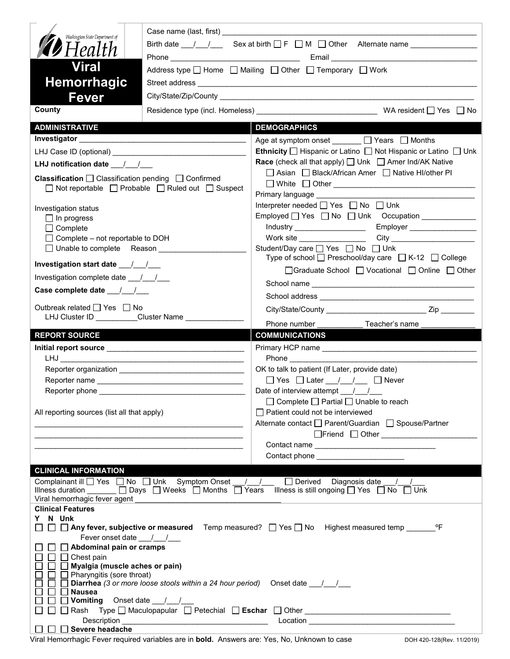| Washington State Department of<br>$\blacktriangledown$ Health<br><b>Viral</b><br><b>Hemorrhagic</b><br>Fever<br>County                                                         |                                                                                                                       | Address type $\Box$ Home $\Box$ Mailing $\Box$ Other $\Box$ Temporary $\Box$ Work                                                                                                                        |  |  |
|--------------------------------------------------------------------------------------------------------------------------------------------------------------------------------|-----------------------------------------------------------------------------------------------------------------------|----------------------------------------------------------------------------------------------------------------------------------------------------------------------------------------------------------|--|--|
| <b>ADMINISTRATIVE</b>                                                                                                                                                          |                                                                                                                       | <b>DEMOGRAPHICS</b>                                                                                                                                                                                      |  |  |
|                                                                                                                                                                                |                                                                                                                       | Age at symptom onset ______ □ Years □ Months                                                                                                                                                             |  |  |
|                                                                                                                                                                                |                                                                                                                       | <b>Ethnicity</b> $\Box$ Hispanic or Latino $\Box$ Not Hispanic or Latino $\Box$ Unk                                                                                                                      |  |  |
|                                                                                                                                                                                |                                                                                                                       | <b>Race</b> (check all that apply) $\Box$ Unk $\Box$ Amer Ind/AK Native                                                                                                                                  |  |  |
| LHJ notification date 11<br><b>Classification</b> $\Box$ Classification pending $\Box$ Confirmed<br>$\Box$ Not reportable $\Box$ Probable $\Box$ Ruled out $\Box$ Suspect      |                                                                                                                       | □ Asian □ Black/African Amer □ Native HI/other PI                                                                                                                                                        |  |  |
| Investigation status                                                                                                                                                           |                                                                                                                       | Interpreter needed $\Box$ Yes $\Box$ No $\Box$ Unk                                                                                                                                                       |  |  |
| $\Box$ In progress                                                                                                                                                             |                                                                                                                       |                                                                                                                                                                                                          |  |  |
| $\Box$ Complete                                                                                                                                                                |                                                                                                                       |                                                                                                                                                                                                          |  |  |
| $\Box$ Complete – not reportable to DOH                                                                                                                                        |                                                                                                                       | Work site $\_\_$                                                                                                                                                                                         |  |  |
| $\Box$ Unable to complete Reason<br>Investigation start date ___/__/___                                                                                                        |                                                                                                                       | Student/Day care <u>on</u> Yes <b>on</b> No <b>D</b> Unk<br>Type of school □ Preschool/day care □ K-12 □ College                                                                                         |  |  |
| Investigation complete date ___/___/___                                                                                                                                        |                                                                                                                       | □Graduate School □ Vocational □ Online □ Other                                                                                                                                                           |  |  |
| Case complete date __/_/__/                                                                                                                                                    |                                                                                                                       |                                                                                                                                                                                                          |  |  |
|                                                                                                                                                                                |                                                                                                                       |                                                                                                                                                                                                          |  |  |
| Outbreak related □ Yes □ No<br>LHJ Cluster ID _________Cluster Name ___________                                                                                                |                                                                                                                       |                                                                                                                                                                                                          |  |  |
|                                                                                                                                                                                |                                                                                                                       | Phone number<br>Teacher's name                                                                                                                                                                           |  |  |
| <b>REPORT SOURCE</b>                                                                                                                                                           |                                                                                                                       |                                                                                                                                                                                                          |  |  |
|                                                                                                                                                                                |                                                                                                                       | <b>COMMUNICATIONS</b>                                                                                                                                                                                    |  |  |
|                                                                                                                                                                                |                                                                                                                       |                                                                                                                                                                                                          |  |  |
|                                                                                                                                                                                |                                                                                                                       | OK to talk to patient (If Later, provide date)                                                                                                                                                           |  |  |
|                                                                                                                                                                                |                                                                                                                       | $\Box$ Yes $\Box$ Later $\Box$ / $\Box$ Never                                                                                                                                                            |  |  |
| Reporter phone                                                                                                                                                                 |                                                                                                                       | Date of interview attempt $\frac{1}{1}$                                                                                                                                                                  |  |  |
| All reporting sources (list all that apply)                                                                                                                                    |                                                                                                                       | $\Box$ Complete $\Box$ Partial $\Box$ Unable to reach<br>$\Box$ Patient could not be interviewed<br>Alternate contact<br>□ Parent/Guardian<br>□ Spouse/Partner                                           |  |  |
|                                                                                                                                                                                |                                                                                                                       | Contact phone ________________________                                                                                                                                                                   |  |  |
|                                                                                                                                                                                |                                                                                                                       |                                                                                                                                                                                                          |  |  |
| <b>CLINICAL INFORMATION</b><br>Viral hemorrhagic fever agent                                                                                                                   |                                                                                                                       | Complainant ill Ves No Unk Symptom Onset / / Derived Diagnosis date / /<br>Illness duration $\Box$ Days $\Box$ Weeks $\Box$ Months $\Box$ Years Illness is still ongoing $\Box$ Yes $\Box$ No $\Box$ Unk |  |  |
| <b>Clinical Features</b>                                                                                                                                                       |                                                                                                                       |                                                                                                                                                                                                          |  |  |
| Y N Unk<br>Fever onset date ___/__/___<br>$\Box$ Abdominal pain or cramps<br>$\Box$ Chest pain<br>Myalgia (muscle aches or pain)<br>Pharyngitis (sore throat)<br><b>Nausea</b> | Diarrhea (3 or more loose stools within a 24 hour period) Onset date ____________                                     | □ △ Any fever, subjective or measured Temp measured? □ Yes □ No Highest measured temp ________ °F                                                                                                        |  |  |
|                                                                                                                                                                                |                                                                                                                       |                                                                                                                                                                                                          |  |  |
| Description<br>Severe headache                                                                                                                                                 | <u> 1989 - Johann Barbara, martxa alemaniar argumento estas políticas en la contrada de la contrada de la contrad</u> |                                                                                                                                                                                                          |  |  |

Viral Hemorrhagic Fever required variables are in **bold.** Answers are: Yes, No, Unknown to case DOH 420-128(Rev. 11/2019)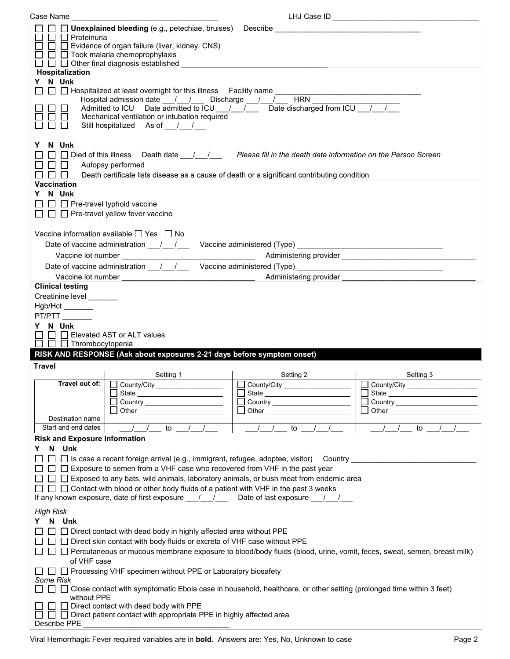| Case Name                                                                       |                                                                                                                                                                                                                                                                                                                                         | LHJ Case ID            |                       |
|---------------------------------------------------------------------------------|-----------------------------------------------------------------------------------------------------------------------------------------------------------------------------------------------------------------------------------------------------------------------------------------------------------------------------------------|------------------------|-----------------------|
| $\Box$ Proteinuria<br>$\Box$                                                    | $\Box$ Unexplained bleeding (e.g., petechiae, bruises)<br>$\Box$ Evidence of organ failure (liver, kidney, CNS)<br>$\Box$ Took malaria chemoprophylaxis<br>$\Box$ Other final diagnosis established                                                                                                                                     |                        |                       |
| Hospitalization<br>Y N Unk                                                      | □ □ Hospitalized at least overnight for this illness Facility name<br>Hospital admission date __/__/___ Discharge __/__/___<br>Admitted to ICU Date admitted to ICU $\left  \frac{1}{2} \right $ Date discharged from ICU $\left  \frac{1}{2} \right $<br>Mechanical ventilation or intubation required<br>Still hospitalized As of / / | $H$ RN $_{-}$          |                       |
| N Unk<br>Y<br>$\Box$ Died of this illness<br>$\mathbf{L}$<br><b>Vaccination</b> | Autopsy performed<br>Death certificate lists disease as a cause of death or a significant contributing condition                                                                                                                                                                                                                        |                        |                       |
| N Unk<br>$\Box$ Pre-travel typhoid vaccine                                      | $\Box$ Pre-travel yellow fever vaccine                                                                                                                                                                                                                                                                                                  |                        |                       |
|                                                                                 | Vaccine information available □ Yes □ No<br>Date of vaccine administration 11/2000 Vaccine administered (Type) 2008. [2010]                                                                                                                                                                                                             |                        |                       |
|                                                                                 | Vaccine lot number                                                                                                                                                                                                                                                                                                                      | Administering provider |                       |
| <b>Clinical testing</b>                                                         |                                                                                                                                                                                                                                                                                                                                         |                        |                       |
|                                                                                 |                                                                                                                                                                                                                                                                                                                                         |                        |                       |
| Creatinine level _______                                                        |                                                                                                                                                                                                                                                                                                                                         |                        |                       |
|                                                                                 |                                                                                                                                                                                                                                                                                                                                         |                        |                       |
|                                                                                 |                                                                                                                                                                                                                                                                                                                                         |                        |                       |
| Hgb/Hct_______                                                                  |                                                                                                                                                                                                                                                                                                                                         |                        |                       |
| PT/PTT                                                                          |                                                                                                                                                                                                                                                                                                                                         |                        |                       |
|                                                                                 |                                                                                                                                                                                                                                                                                                                                         |                        |                       |
| Y N Unk                                                                         |                                                                                                                                                                                                                                                                                                                                         |                        |                       |
|                                                                                 | Elevated AST or ALT values                                                                                                                                                                                                                                                                                                              |                        |                       |
| $\Box$ $\Box$ Thrombocytopenia                                                  |                                                                                                                                                                                                                                                                                                                                         |                        |                       |
|                                                                                 |                                                                                                                                                                                                                                                                                                                                         |                        |                       |
|                                                                                 | RISK AND RESPONSE (Ask about exposures 2-21 days before symptom onset)                                                                                                                                                                                                                                                                  |                        |                       |
| <b>Travel</b>                                                                   |                                                                                                                                                                                                                                                                                                                                         |                        |                       |
|                                                                                 | Setting 1                                                                                                                                                                                                                                                                                                                               |                        | Setting 3             |
|                                                                                 |                                                                                                                                                                                                                                                                                                                                         | Setting 2              |                       |
|                                                                                 | Travel out of:     County/City                                                                                                                                                                                                                                                                                                          | County/City            | County/City<br>$\sim$ |
|                                                                                 | State                                                                                                                                                                                                                                                                                                                                   |                        |                       |
|                                                                                 |                                                                                                                                                                                                                                                                                                                                         |                        |                       |
|                                                                                 | Other                                                                                                                                                                                                                                                                                                                                   | Other                  | Other                 |
| Destination name                                                                |                                                                                                                                                                                                                                                                                                                                         |                        |                       |
|                                                                                 |                                                                                                                                                                                                                                                                                                                                         |                        |                       |
| Start and end dates                                                             | to                                                                                                                                                                                                                                                                                                                                      | to                     | to                    |
| <b>Risk and Exposure Information</b>                                            |                                                                                                                                                                                                                                                                                                                                         |                        |                       |
| N Unk<br>Y.                                                                     |                                                                                                                                                                                                                                                                                                                                         |                        |                       |
|                                                                                 |                                                                                                                                                                                                                                                                                                                                         |                        |                       |
|                                                                                 | $\Box$ Is case a recent foreign arrival (e.g., immigrant, refugee, adoptee, visitor) Country ____                                                                                                                                                                                                                                       |                        |                       |
|                                                                                 | □ □ Exposure to semen from a VHF case who recovered from VHF in the past year                                                                                                                                                                                                                                                           |                        |                       |
|                                                                                 | $\Box$ Exposed to any bats, wild animals, laboratory animals, or bush meat from endemic area                                                                                                                                                                                                                                            |                        |                       |
|                                                                                 |                                                                                                                                                                                                                                                                                                                                         |                        |                       |
|                                                                                 | □ □ Contact with blood or other body fluids of a patient with VHF in the past 3 weeks                                                                                                                                                                                                                                                   |                        |                       |
|                                                                                 | If any known exposure, date of first exposure $\underline{\qquad \qquad }$ / ____ Date of last exposure ___/ ___/                                                                                                                                                                                                                       |                        |                       |
| <b>High Risk</b>                                                                |                                                                                                                                                                                                                                                                                                                                         |                        |                       |
| Y.                                                                              |                                                                                                                                                                                                                                                                                                                                         |                        |                       |
| N Unk                                                                           |                                                                                                                                                                                                                                                                                                                                         |                        |                       |
|                                                                                 | □ □ Direct contact with dead body in highly affected area without PPE                                                                                                                                                                                                                                                                   |                        |                       |
|                                                                                 | $\Box$ Direct skin contact with body fluids or excreta of VHF case without PPE                                                                                                                                                                                                                                                          |                        |                       |
|                                                                                 | □ □ Percutaneous or mucous membrane exposure to blood/body fluids (blood, urine, vomit, feces, sweat, semen, breast milk)                                                                                                                                                                                                               |                        |                       |
|                                                                                 |                                                                                                                                                                                                                                                                                                                                         |                        |                       |
| of VHF case                                                                     |                                                                                                                                                                                                                                                                                                                                         |                        |                       |
| $\mathbf{1}$                                                                    | □ Processing VHF specimen without PPE or Laboratory biosafety                                                                                                                                                                                                                                                                           |                        |                       |
| Some Risk                                                                       |                                                                                                                                                                                                                                                                                                                                         |                        |                       |
|                                                                                 | □ Close contact with symptomatic Ebola case in household, healthcare, or other setting (prolonged time within 3 feet)                                                                                                                                                                                                                   |                        |                       |
| without PPE                                                                     |                                                                                                                                                                                                                                                                                                                                         |                        |                       |
|                                                                                 |                                                                                                                                                                                                                                                                                                                                         |                        |                       |
|                                                                                 | Direct contact with dead body with PPE                                                                                                                                                                                                                                                                                                  |                        |                       |
| Describe PPE                                                                    | $\Box$ Direct patient contact with appropriate PPE in highly affected area                                                                                                                                                                                                                                                              |                        |                       |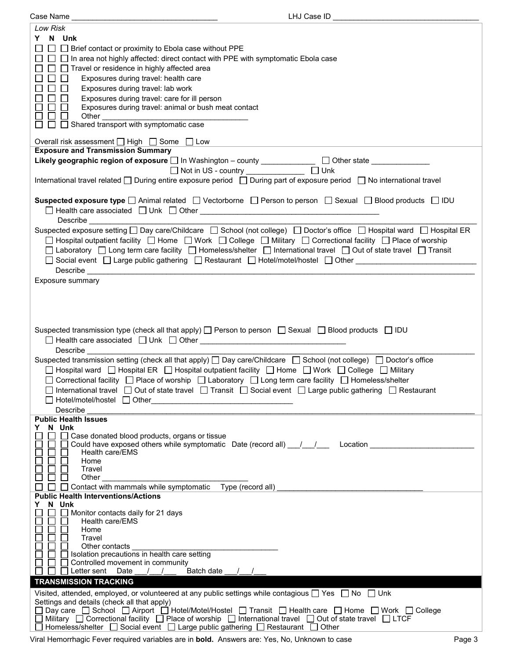| Case Name <sub>-</sub>                                                                                                                  | LHJ Case ID |
|-----------------------------------------------------------------------------------------------------------------------------------------|-------------|
| Low Risk                                                                                                                                |             |
| Y N Unk                                                                                                                                 |             |
|                                                                                                                                         |             |
| □ □ Brief contact or proximity to Ebola case without PPE                                                                                |             |
| □ □ In area not highly affected: direct contact with PPE with symptomatic Ebola case                                                    |             |
| $\Box~\Box$ Travel or residence in highly affected area                                                                                 |             |
| $\Box$<br>┓<br>Exposures during travel: health care                                                                                     |             |
| П<br>$\Box$<br>Exposures during travel: lab work                                                                                        |             |
| Exposures during travel: care for ill person<br>l 1<br>$\Box$                                                                           |             |
| Exposures during travel: animal or bush meat contact<br>$\mathsf{L}$<br>$\Box$                                                          |             |
|                                                                                                                                         |             |
|                                                                                                                                         |             |
|                                                                                                                                         |             |
| Overall risk assessment $\Box$ High $\Box$ Some $\Box$ Low                                                                              |             |
| <b>Exposure and Transmission Summary</b>                                                                                                |             |
| Likely geographic region of exposure $\square$ In Washington - county _____________ $\square$ Other state __________                    |             |
|                                                                                                                                         |             |
| □ Not in US - country _____________ □ Unk                                                                                               |             |
| International travel related □ During entire exposure period □ During part of exposure period □ No international travel                 |             |
|                                                                                                                                         |             |
| Suspected exposure type $\Box$ Animal related $\Box$ Vectorborne $\Box$ Person to person $\Box$ Sexual $\Box$ Blood products $\Box$ IDU |             |
|                                                                                                                                         |             |
| Describe <u>Describe</u>                                                                                                                |             |
| Suspected exposure setting □ Day care/Childcare □ School (not college) □ Doctor's office □ Hospital ward □ Hospital ER                  |             |
|                                                                                                                                         |             |
| □ Hospital outpatient facility □ Home □ Work □ College □ Military □ Correctional facility □ Place of worship                            |             |
| □ Laboratory □ Long term care facility □ Homeless/shelter □ International travel □ Out of state travel □ Transit                        |             |
| □ Social event □ Large public gathering □ Restaurant □ Hotel/motel/hostel □ Other ____________________________                          |             |
|                                                                                                                                         |             |
| Exposure summary                                                                                                                        |             |
|                                                                                                                                         |             |
|                                                                                                                                         |             |
|                                                                                                                                         |             |
|                                                                                                                                         |             |
|                                                                                                                                         |             |
| Suspected transmission type (check all that apply) $\Box$ Person to person $\Box$ Sexual $\Box$ Blood products $\Box$ IDU               |             |
|                                                                                                                                         |             |
| Describe<br><u> 1980 - John Stein, Amerikaansk politiker (</u>                                                                          |             |
| Suspected transmission setting (check all that apply) $\Box$ Day care/Childcare $\Box$ School (not college) $\Box$ Doctor's office      |             |
|                                                                                                                                         |             |
| □ Hospital ward □ Hospital ER □ Hospital outpatient facility □ Home □ Work □ College □ Military                                         |             |
| □ Correctional facility □ Place of worship □ Laboratory □ Long term care facility □ Homeless/shelter                                    |             |
| □ International travel □ Out of state travel □ Transit □ Social event □ Large public gathering □ Restaurant                             |             |
| ] Hotel/motel/hostel □ Other                                                                                                            |             |
| Describe                                                                                                                                |             |
| <b>Public Health Issues</b>                                                                                                             |             |
| Y N Unk                                                                                                                                 |             |
| $\Box$ Case donated blood products, organs or tissue<br>$\blacksquare$                                                                  |             |
| Could have exposed others while symptomatic Date (record all) __/__/___ Location _____________                                          |             |
| Health care/EMS                                                                                                                         |             |
| Home                                                                                                                                    |             |
| Travel                                                                                                                                  |             |
| $\Box$<br>Other                                                                                                                         |             |
| □ Contact with mammals while symptomatic Type (record all) __________                                                                   |             |
| <b>Public Health Interventions/Actions</b>                                                                                              |             |
| N Unk<br>Y.                                                                                                                             |             |
| $\Box$ Monitor contacts daily for 21 days                                                                                               |             |
| Health care/EMS                                                                                                                         |             |
| Home                                                                                                                                    |             |
| Travel                                                                                                                                  |             |
| Other contacts                                                                                                                          |             |
| Solation precautions in health care setting                                                                                             |             |
| $\Box$ Controlled movement in community                                                                                                 |             |
| $\Box$ Letter sent Date / /<br>Batch date / /                                                                                           |             |
| <b>TRANSMISSION TRACKING</b>                                                                                                            |             |
| Visited, attended, employed, or volunteered at any public settings while contagious $\Box$ Yes $\Box$ No $\Box$ Unk                     |             |
| Settings and details (check all that apply)                                                                                             |             |
| □ Day care □ School □ Airport □ Hotel/Motel/Hostel □ Transit □ Health care □ Home □ Work □ College                                      |             |
| □ Military □ Correctional facility □ Place of worship □ International travel □ Out of state travel □ LTCF                               |             |
| $□$ Homeless/shelter $□$ Social event $□$ Large public gathering $□$ Restaurant $□$ Other                                               |             |